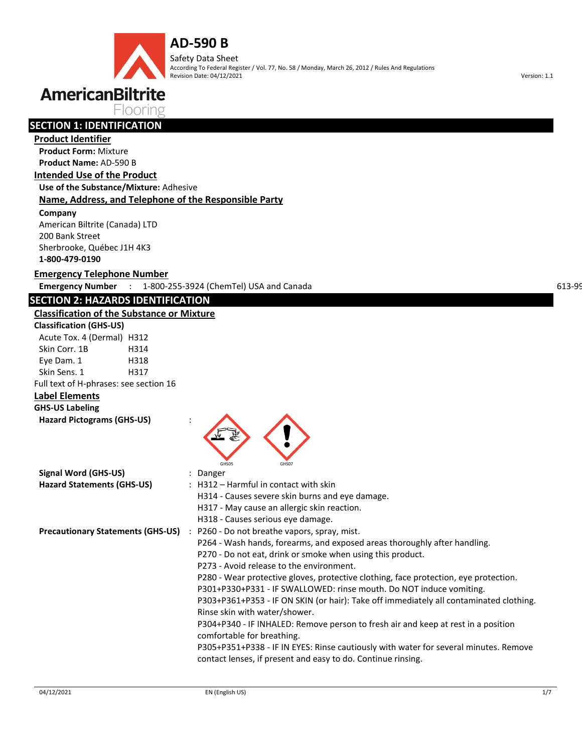Safety Data Sheet According To Federal Register / Vol. 77, No. 58 / Monday, March 26, 2012 / Rules And Regulations Revision Date: 04/12/2021 Version: 1.1

# **AmericanBiltrite**

Flooring

### **SECTION 1: IDENTIFICATION**

#### **Product Identifier**

**Product Form:** Mixture **Product Name:** AD-590 B

#### **Intended Use of the Product**

**Use of the Substance/Mixture:** Adhesive

#### **Name, Address, and Telephone of the Responsible Party**

**Company** 

American Biltrite (Canada) LTD 200 Bank Street Sherbrooke, Québec J1H 4K3 **1-800-479-0190**

#### **Emergency Telephone Number**

**Emergency Number** : 1-800-255-3924 (ChemTel) USA and Canada 613-666 (CANUTEC) CANUTEC 613-996-6666 (CANUTEC) CAN

#### **SECTION 2: HAZARDS IDENTIFICATION**

#### **Classification of the Substance or Mixture**

| <b>Classification (GHS-US)</b>         |      |
|----------------------------------------|------|
| Acute Tox. 4 (Dermal) H312             |      |
| Skin Corr. 1B                          | H314 |
| Eye Dam. 1                             | H318 |
| Skin Sens. 1                           | H317 |
| Full text of H-phrases: see section 16 |      |

#### **Label Elements**

**GHS-US Labeling** 

| <b>Hazard Pictograms (GHS-US)</b> |  |  |
|-----------------------------------|--|--|
|-----------------------------------|--|--|

| GHS05<br>GHS07                                                                         |
|----------------------------------------------------------------------------------------|
| : Danger                                                                               |
| $\pm$ H312 – Harmful in contact with skin                                              |
| H314 - Causes severe skin burns and eye damage.                                        |
| H317 - May cause an allergic skin reaction.                                            |
| H318 - Causes serious eye damage.                                                      |
| <b>Precautionary Statements (GHS-US)</b> : P260 - Do not breathe vapors, spray, mist.  |
| P264 - Wash hands, forearms, and exposed areas thoroughly after handling.              |
| P270 - Do not eat, drink or smoke when using this product.                             |
| P273 - Avoid release to the environment.                                               |
| P280 - Wear protective gloves, protective clothing, face protection, eye protection.   |
| P301+P330+P331 - IF SWALLOWED: rinse mouth. Do NOT induce vomiting.                    |
| P303+P361+P353 - IF ON SKIN (or hair): Take off immediately all contaminated clothing. |
| Rinse skin with water/shower.                                                          |
| P304+P340 - IF INHALED: Remove person to fresh air and keep at rest in a position      |
| comfortable for breathing.                                                             |
| P305+P351+P338 - IF IN EYES: Rinse cautiously with water for several minutes. Remove   |
| contact lenses, if present and easy to do. Continue rinsing.                           |
|                                                                                        |
|                                                                                        |

**ANY**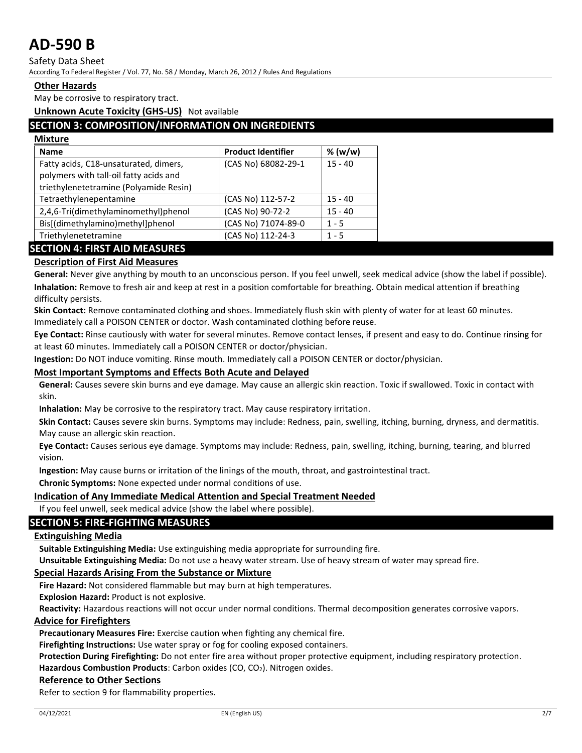Safety Data Sheet

According To Federal Register / Vol. 77, No. 58 / Monday, March 26, 2012 / Rules And Regulations

#### **Other Hazards**

May be corrosive to respiratory tract.

**Unknown Acute Toxicity (GHS-US)** Not available

#### **SECTION 3: COMPOSITION/INFORMATION ON INGREDIENTS**

| <b>Mixture</b>                                                                                                            |                           |           |
|---------------------------------------------------------------------------------------------------------------------------|---------------------------|-----------|
| <b>Name</b>                                                                                                               | <b>Product Identifier</b> | % (w/w)   |
| Fatty acids, C18-unsaturated, dimers,<br>polymers with tall-oil fatty acids and<br>triethylenetetramine (Polyamide Resin) | (CAS No) 68082-29-1       | $15 - 40$ |
| Tetraethylenepentamine                                                                                                    | (CAS No) 112-57-2         | $15 - 40$ |
| 2,4,6-Tri(dimethylaminomethyl)phenol                                                                                      | (CAS No) 90-72-2          | $15 - 40$ |
| Bis[(dimethylamino)methyl]phenol                                                                                          | (CAS No) 71074-89-0       | $1 - 5$   |
| Triethylenetetramine                                                                                                      | (CAS No) 112-24-3         | $1 - 5$   |
|                                                                                                                           |                           |           |

### **SECTION 4: FIRST AID MEASURES**

#### **Description of First Aid Measures**

**General:** Never give anything by mouth to an unconscious person. If you feel unwell, seek medical advice (show the label if possible). **Inhalation:** Remove to fresh air and keep at rest in a position comfortable for breathing. Obtain medical attention if breathing difficulty persists.

**Skin Contact:** Remove contaminated clothing and shoes. Immediately flush skin with plenty of water for at least 60 minutes. Immediately call a POISON CENTER or doctor. Wash contaminated clothing before reuse.

**Eye Contact:** Rinse cautiously with water for several minutes. Remove contact lenses, if present and easy to do. Continue rinsing for at least 60 minutes. Immediately call a POISON CENTER or doctor/physician.

**Ingestion:** Do NOT induce vomiting. Rinse mouth. Immediately call a POISON CENTER or doctor/physician.

#### **Most Important Symptoms and Effects Both Acute and Delayed**

**General:** Causes severe skin burns and eye damage. May cause an allergic skin reaction. Toxic if swallowed. Toxic in contact with skin.

**Inhalation:** May be corrosive to the respiratory tract. May cause respiratory irritation.

**Skin Contact:** Causes severe skin burns. Symptoms may include: Redness, pain, swelling, itching, burning, dryness, and dermatitis. May cause an allergic skin reaction.

**Eye Contact:** Causes serious eye damage. Symptoms may include: Redness, pain, swelling, itching, burning, tearing, and blurred vision.

**Ingestion:** May cause burns or irritation of the linings of the mouth, throat, and gastrointestinal tract.

**Chronic Symptoms:** None expected under normal conditions of use.

#### **Indication of Any Immediate Medical Attention and Special Treatment Needed**

If you feel unwell, seek medical advice (show the label where possible).

#### **SECTION 5: FIRE-FIGHTING MEASURES**

#### **Extinguishing Media**

**Suitable Extinguishing Media:** Use extinguishing media appropriate for surrounding fire.

**Unsuitable Extinguishing Media:** Do not use a heavy water stream. Use of heavy stream of water may spread fire.

#### **Special Hazards Arising From the Substance or Mixture**

**Fire Hazard:** Not considered flammable but may burn at high temperatures.

**Explosion Hazard:** Product is not explosive.

**Reactivity:** Hazardous reactions will not occur under normal conditions. Thermal decomposition generates corrosive vapors.

#### **Advice for Firefighters**

**Precautionary Measures Fire:** Exercise caution when fighting any chemical fire.

**Firefighting Instructions:** Use water spray or fog for cooling exposed containers.

**Protection During Firefighting:** Do not enter fire area without proper protective equipment, including respiratory protection. Hazardous Combustion Products: Carbon oxides (CO, CO<sub>2</sub>). Nitrogen oxides.

#### **Reference to Other Sections**

Refer to section 9 for flammability properties.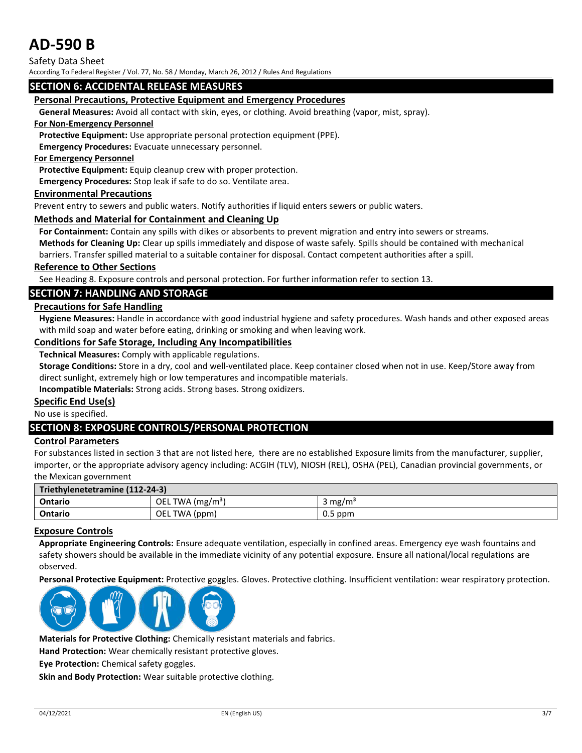Safety Data Sheet

According To Federal Register / Vol. 77, No. 58 / Monday, March 26, 2012 / Rules And Regulations

#### **SECTION 6: ACCIDENTAL RELEASE MEASURES**

#### **Personal Precautions, Protective Equipment and Emergency Procedures**

**General Measures:** Avoid all contact with skin, eyes, or clothing. Avoid breathing (vapor, mist, spray).

#### **For Non-Emergency Personnel**

**Protective Equipment:** Use appropriate personal protection equipment (PPE).

**Emergency Procedures:** Evacuate unnecessary personnel.

#### **For Emergency Personnel**

**Protective Equipment:** Equip cleanup crew with proper protection.

**Emergency Procedures:** Stop leak if safe to do so. Ventilate area.

#### **Environmental Precautions**

Prevent entry to sewers and public waters. Notify authorities if liquid enters sewers or public waters.

#### **Methods and Material for Containment and Cleaning Up**

**For Containment:** Contain any spills with dikes or absorbents to prevent migration and entry into sewers or streams.

**Methods for Cleaning Up:** Clear up spills immediately and dispose of waste safely. Spills should be contained with mechanical

barriers. Transfer spilled material to a suitable container for disposal. Contact competent authorities after a spill.

#### **Reference to Other Sections**

See Heading 8. Exposure controls and personal protection. For further information refer to section 13.

#### **SECTION 7: HANDLING AND STORAGE**

#### **Precautions for Safe Handling**

**Hygiene Measures:** Handle in accordance with good industrial hygiene and safety procedures. Wash hands and other exposed areas with mild soap and water before eating, drinking or smoking and when leaving work.

#### **Conditions for Safe Storage, Including Any Incompatibilities**

**Technical Measures:** Comply with applicable regulations.

**Storage Conditions:** Store in a dry, cool and well-ventilated place. Keep container closed when not in use. Keep/Store away from direct sunlight, extremely high or low temperatures and incompatible materials.

**Incompatible Materials:** Strong acids. Strong bases. Strong oxidizers.

#### **Specific End Use(s)**

No use is specified.

#### **SECTION 8: EXPOSURE CONTROLS/PERSONAL PROTECTION**

#### **Control Parameters**

For substances listed in section 3 that are not listed here, there are no established Exposure limits from the manufacturer, supplier, importer, or the appropriate advisory agency including: ACGIH (TLV), NIOSH (REL), OSHA (PEL), Canadian provincial governments, or the Mexican government

| Triethylenetetramine (112-24-3) |                              |                    |
|---------------------------------|------------------------------|--------------------|
| <b>Ontario</b>                  | OEL TWA (mg/m <sup>3</sup> ) | $3 \text{ mg/m}^3$ |
| Ontario                         | OEL TWA (ppm)                | $0.5$ ppm          |

#### **Exposure Controls**

**Appropriate Engineering Controls:** Ensure adequate ventilation, especially in confined areas. Emergency eye wash fountains and safety showers should be available in the immediate vicinity of any potential exposure. Ensure all national/local regulations are observed.

**Personal Protective Equipment:** Protective goggles. Gloves. Protective clothing. Insufficient ventilation: wear respiratory protection.



**Materials for Protective Clothing:** Chemically resistant materials and fabrics.

**Hand Protection:** Wear chemically resistant protective gloves.

**Eye Protection:** Chemical safety goggles.

**Skin and Body Protection:** Wear suitable protective clothing.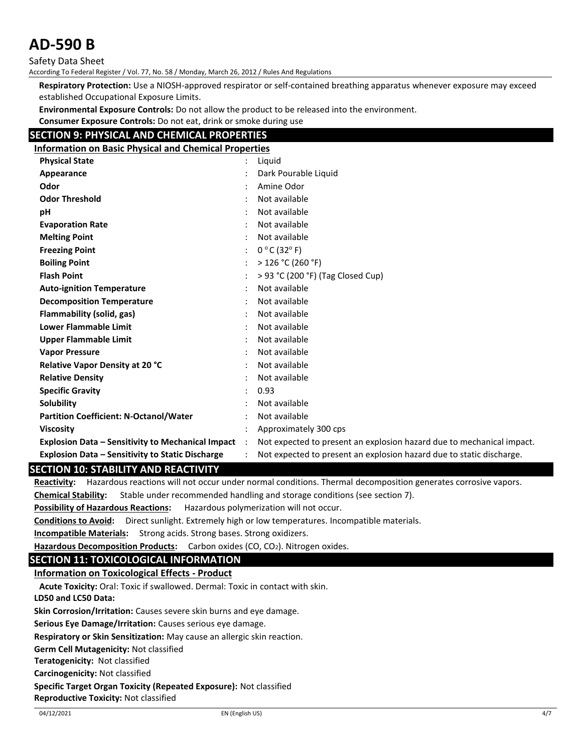Safety Data Sheet

According To Federal Register / Vol. 77, No. 58 / Monday, March 26, 2012 / Rules And Regulations

**Respiratory Protection:** Use a NIOSH-approved respirator or self-contained breathing apparatus whenever exposure may exceed established Occupational Exposure Limits.

**Environmental Exposure Controls:** Do not allow the product to be released into the environment.

**Consumer Exposure Controls:** Do not eat, drink or smoke during use

#### **SECTION 9: PHYSICAL AND CHEMICAL PROPERTIES**

| <b>Information on Basic Physical and Chemical Properties</b> |           |                                                                       |
|--------------------------------------------------------------|-----------|-----------------------------------------------------------------------|
| <b>Physical State</b>                                        |           | Liquid                                                                |
| Appearance                                                   |           | Dark Pourable Liquid                                                  |
| Odor                                                         |           | Amine Odor                                                            |
| <b>Odor Threshold</b>                                        |           | Not available                                                         |
| pH                                                           |           | Not available                                                         |
| <b>Evaporation Rate</b>                                      |           | Not available                                                         |
| <b>Melting Point</b>                                         |           | Not available                                                         |
| <b>Freezing Point</b>                                        |           | $0 °C$ (32 $ °F$ )                                                    |
| <b>Boiling Point</b>                                         |           | $>$ 126 °C (260 °F)                                                   |
| <b>Flash Point</b>                                           |           | > 93 °C (200 °F) (Tag Closed Cup)                                     |
| <b>Auto-ignition Temperature</b>                             |           | Not available                                                         |
| <b>Decomposition Temperature</b>                             |           | Not available                                                         |
| Flammability (solid, gas)                                    |           | Not available                                                         |
| <b>Lower Flammable Limit</b>                                 |           | Not available                                                         |
| <b>Upper Flammable Limit</b>                                 |           | Not available                                                         |
| <b>Vapor Pressure</b>                                        |           | Not available                                                         |
| <b>Relative Vapor Density at 20 °C</b>                       |           | Not available                                                         |
| <b>Relative Density</b>                                      |           | Not available                                                         |
| <b>Specific Gravity</b>                                      |           | 0.93                                                                  |
| Solubility                                                   |           | Not available                                                         |
| <b>Partition Coefficient: N-Octanol/Water</b>                |           | Not available                                                         |
| <b>Viscosity</b>                                             |           | Approximately 300 cps                                                 |
| <b>Explosion Data - Sensitivity to Mechanical Impact</b>     | $\cdot$ : | Not expected to present an explosion hazard due to mechanical impact. |
| <b>Explosion Data - Sensitivity to Static Discharge</b>      |           | Not expected to present an explosion hazard due to static discharge.  |

#### **SECTION 10: STABILITY AND REACTIVITY**

**Reactivity:** Hazardous reactions will not occur under normal conditions. Thermal decomposition generates corrosive vapors. **Chemical Stability:** Stable under recommended handling and storage conditions (see section 7).

**Possibility of Hazardous Reactions:** Hazardous polymerization will not occur.

**Conditions to Avoid:** Direct sunlight. Extremely high or low temperatures. Incompatible materials.

**Incompatible Materials:** Strong acids. Strong bases. Strong oxidizers.

Hazardous Decomposition Products: Carbon oxides (CO, CO<sub>2</sub>). Nitrogen oxides.

#### **SECTION 11: TOXICOLOGICAL INFORMATION**

#### **Information on Toxicological Effects - Product**

**Acute Toxicity:** Oral: Toxic if swallowed. Dermal: Toxic in contact with skin.

**LD50 and LC50 Data:**

**Skin Corrosion/Irritation:** Causes severe skin burns and eye damage.

**Serious Eye Damage/Irritation:** Causes serious eye damage.

**Respiratory or Skin Sensitization:** May cause an allergic skin reaction.

**Germ Cell Mutagenicity:** Not classified

**Teratogenicity:** Not classified

**Carcinogenicity:** Not classified

**Specific Target Organ Toxicity (Repeated Exposure):** Not classified

**Reproductive Toxicity:** Not classified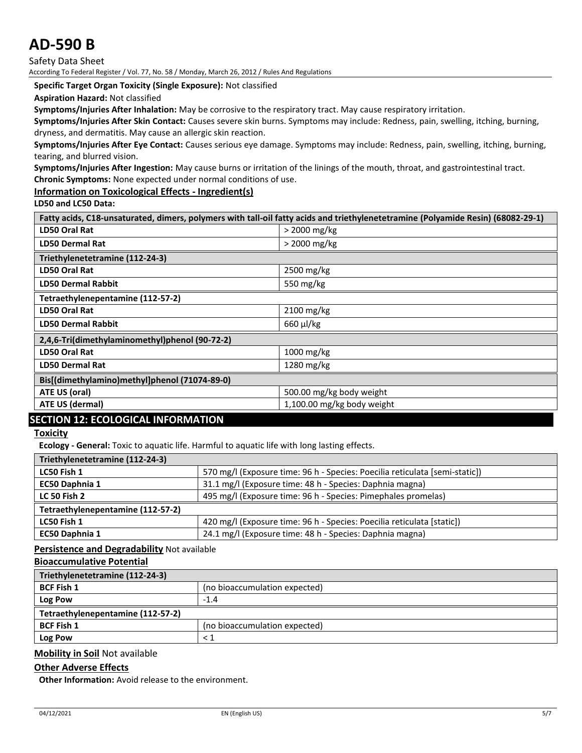Safety Data Sheet

According To Federal Register / Vol. 77, No. 58 / Monday, March 26, 2012 / Rules And Regulations

**Specific Target Organ Toxicity (Single Exposure):** Not classified

**Aspiration Hazard:** Not classified

**Symptoms/Injuries After Inhalation:** May be corrosive to the respiratory tract. May cause respiratory irritation.

**Symptoms/Injuries After Skin Contact:** Causes severe skin burns. Symptoms may include: Redness, pain, swelling, itching, burning, dryness, and dermatitis. May cause an allergic skin reaction.

**Symptoms/Injuries After Eye Contact:** Causes serious eye damage. Symptoms may include: Redness, pain, swelling, itching, burning, tearing, and blurred vision.

**Symptoms/Injuries After Ingestion:** May cause burns or irritation of the linings of the mouth, throat, and gastrointestinal tract. **Chronic Symptoms:** None expected under normal conditions of use.

**Information on Toxicological Effects - Ingredient(s)**

**LD50 and LC50 Data:**

| Fatty acids, C18-unsaturated, dimers, polymers with tall-oil fatty acids and triethylenetetramine (Polyamide Resin) (68082-29-1) |                          |  |  |
|----------------------------------------------------------------------------------------------------------------------------------|--------------------------|--|--|
| <b>LD50 Oral Rat</b><br>$>$ 2000 mg/kg                                                                                           |                          |  |  |
| <b>LD50 Dermal Rat</b>                                                                                                           | $>$ 2000 mg/kg           |  |  |
| Triethylenetetramine (112-24-3)                                                                                                  |                          |  |  |
| LD50 Oral Rat                                                                                                                    | 2500 mg/kg               |  |  |
| <b>LD50 Dermal Rabbit</b><br>550 mg/kg                                                                                           |                          |  |  |
| Tetraethylenepentamine (112-57-2)                                                                                                |                          |  |  |
| LD50 Oral Rat                                                                                                                    | 2100 mg/kg               |  |  |
| $660 \mu$ /kg<br><b>LD50 Dermal Rabbit</b>                                                                                       |                          |  |  |
| 2,4,6-Tri(dimethylaminomethyl)phenol (90-72-2)                                                                                   |                          |  |  |
| <b>LD50 Oral Rat</b><br>1000 mg/kg                                                                                               |                          |  |  |
| 1280 mg/kg<br><b>LD50 Dermal Rat</b>                                                                                             |                          |  |  |
| Bis[(dimethylamino)methyl]phenol (71074-89-0)                                                                                    |                          |  |  |
| ATE US (oral)                                                                                                                    | 500.00 mg/kg body weight |  |  |
| ATE US (dermal)<br>1,100.00 mg/kg body weight                                                                                    |                          |  |  |

#### **SECTION 12: ECOLOGICAL INFORMATION**

#### **Toxicity**

**Ecology - General:** Toxic to aquatic life. Harmful to aquatic life with long lasting effects.

| Triethylenetetramine (112-24-3)   |                                                                             |  |
|-----------------------------------|-----------------------------------------------------------------------------|--|
| LC50 Fish 1                       | 570 mg/l (Exposure time: 96 h - Species: Poecilia reticulata [semi-static]) |  |
| EC50 Daphnia 1                    | 31.1 mg/l (Exposure time: 48 h - Species: Daphnia magna)                    |  |
| <b>LC 50 Fish 2</b>               | 495 mg/l (Exposure time: 96 h - Species: Pimephales promelas)               |  |
| Tetraethylenepentamine (112-57-2) |                                                                             |  |
| LC50 Fish 1                       | 420 mg/l (Exposure time: 96 h - Species: Poecilia reticulata [static])      |  |
| EC50 Daphnia 1                    | 24.1 mg/l (Exposure time: 48 h - Species: Daphnia magna)                    |  |

**Persistence and Degradability** Not available

#### **Bioaccumulative Potential**

| Triethylenetetramine (112-24-3)   |                               |  |
|-----------------------------------|-------------------------------|--|
| <b>BCF Fish 1</b>                 | (no bioaccumulation expected) |  |
| Log Pow                           | $-1.4$                        |  |
| Tetraethylenepentamine (112-57-2) |                               |  |
| <b>BCF Fish 1</b>                 | (no bioaccumulation expected) |  |
| Log Pow                           |                               |  |

#### **Mobility in Soil** Not available

#### **Other Adverse Effects**

**Other Information:** Avoid release to the environment.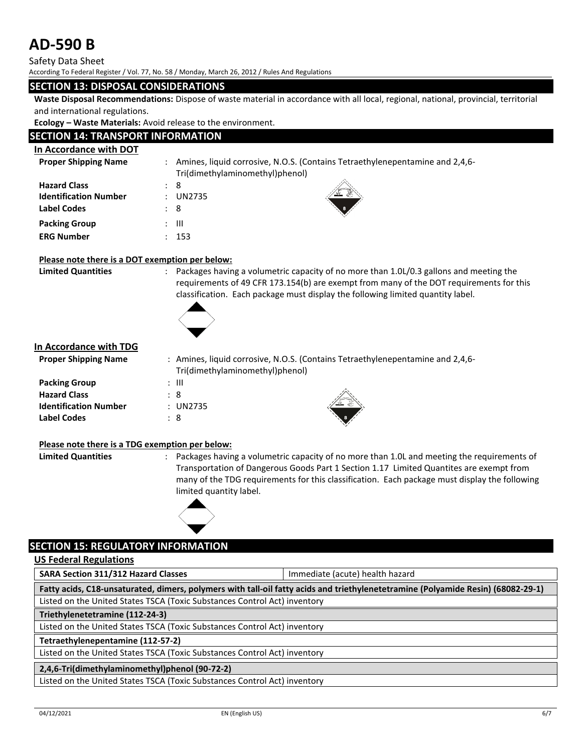Safety Data Sheet

According To Federal Register / Vol. 77, No. 58 / Monday, March 26, 2012 / Rules And Regulations

#### **SECTION 13: DISPOSAL CONSIDERATIONS**

**Waste Disposal Recommendations:** Dispose of waste material in accordance with all local, regional, national, provincial, territorial and international regulations.

**Ecology – Waste Materials:** Avoid release to the environment.

#### **SECTION 14: TRANSPORT INFORMATION**

| In Accordance with DOT                                             |                                                                                                                 |
|--------------------------------------------------------------------|-----------------------------------------------------------------------------------------------------------------|
| <b>Proper Shipping Name</b>                                        | Amines, liquid corrosive, N.O.S. (Contains Tetraethylenepentamine and 2,4,6-<br>Tri(dimethylaminomethyl)phenol) |
| <b>Hazard Class</b><br><b>Identification Number</b><br>Label Codes | 8<br>$\ddot{\phantom{0}}$<br><b>UN2735</b><br>-8<br>$\mathcal{L}$                                               |
| <b>Packing Group</b><br><b>ERG Number</b>                          | -111<br>$\mathbb{R}^{\mathbb{Z}}$<br>153                                                                        |

#### **Please note there is a DOT exemption per below:**

**Limited Quantities** : Packages having a volumetric capacity of no more than 1.0L/0.3 gallons and meeting the requirements of 49 CFR 173.154(b) are exempt from many of the DOT requirements for this classification. Each package must display the following limited quantity label.



#### **In Accordance with TDG**

| <b>Proper Shipping Name</b>  |                                 | : Amines, liquid corrosive, N.O.S. (Contains Tetraethylenepentamine and 2,4,6- |
|------------------------------|---------------------------------|--------------------------------------------------------------------------------|
|                              | Tri(dimethylaminomethyl)phenol) |                                                                                |
| <b>Packing Group</b>         | : III                           |                                                                                |
| <b>Hazard Class</b>          | : 8                             |                                                                                |
| <b>Identification Number</b> | : UN2735                        |                                                                                |
| <b>Label Codes</b>           | : 8                             |                                                                                |



#### **Please note there is a TDG exemption per below:**

**Limited Quantities** : Packages having a volumetric capacity of no more than 1.0L and meeting the requirements of Transportation of Dangerous Goods Part 1 Section 1.17 Limited Quantites are exempt from many of the TDG requirements for this classification. Each package must display the following limited quantity label.



#### **SECTION 15: REGULATORY INFORMATION**

**US Federal Regulations**

**SARA Section 311/312 Hazard Classes** Immediate (acute) health hazard

**Fatty acids, C18-unsaturated, dimers, polymers with tall-oil fatty acids and triethylenetetramine (Polyamide Resin) (68082-29-1)**

Listed on the United States TSCA (Toxic Substances Control Act) inventory

**Triethylenetetramine (112-24-3)**

Listed on the United States TSCA (Toxic Substances Control Act) inventory

**Tetraethylenepentamine (112-57-2)**

Listed on the United States TSCA (Toxic Substances Control Act) inventory

#### **2,4,6-Tri(dimethylaminomethyl)phenol (90-72-2)**

Listed on the United States TSCA (Toxic Substances Control Act) inventory